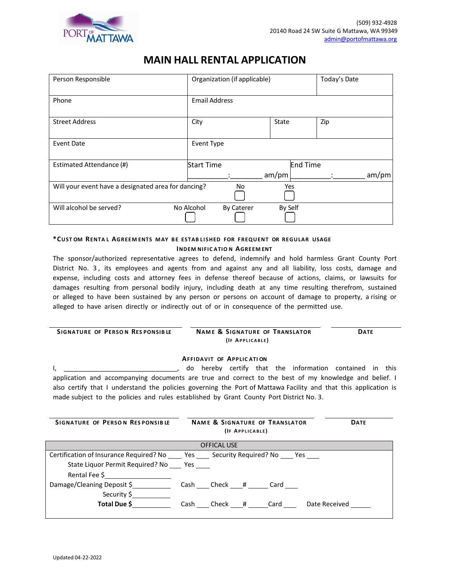

# **MAIN HALL RENTAL APPLICATION**

| Person Responsible                                  | Organization (if applicable)    |                          | Today's Date |
|-----------------------------------------------------|---------------------------------|--------------------------|--------------|
| Phone                                               | <b>Email Address</b>            |                          |              |
| <b>Street Address</b>                               | City                            | State                    | Zip          |
| <b>Event Date</b>                                   | <b>Event Type</b>               |                          |              |
| Estimated Attendance (#)                            | <b>Start Time</b>               | <b>End Time</b><br>am/pm | am/pm        |
| Will your event have a designated area for dancing? | No                              | Yes                      |              |
| Will alcohol be served?                             | No Alcohol<br><b>By Caterer</b> | By Self                  |              |

# **\*CUST OM RENTA L AGREEM ENTS MAY BE ESTAB L I SHED FOR FREQUENT OR REGULAR USAGE INDEM NIFIC ATIO N AGREEM ENT**

The sponsor/authorized representative agrees to defend, indemnify and hold harmless Grant County Port District No. 3 , its employees and agents from and against any and all liability, loss costs, damage and expense, including costs and attorney fees in defense thereof because of actions, claims, or lawsuits for damages resulting from personal bodily injury, including death at any time resulting therefrom, sustained or alleged to have been sustained by any person or persons on account of damage to property, a rising or alleged to have arisen directly or indirectly out of or in consequence of the permitted use.

| SIGNATURE OF PERSON RESPONSIBLE | <b>NAME &amp; SIGNATURE OF TRANSLATOR</b> | <b>DATE</b> |
|---------------------------------|-------------------------------------------|-------------|
|                                 | (IF APPLICABLE)                           |             |
|                                 |                                           |             |

## **AFFIDAVIT OF APPLIC ATI ON**

I, \_\_\_\_\_\_\_\_\_\_\_\_\_\_\_\_\_\_\_\_\_\_\_\_\_\_\_\_\_\_\_\_\_, do hereby certify that the information contained in this application and accompanying documents are true and correct to the best of my knowledge and belief. I also certify that I understand the policies governing the Port of Mattawa Facility and that this application is made subject to the policies and rules established by Grant County Port District No. 3.

| <b>SIGNATURE OF PERSON RESPONSIBLE</b>                                                            | <b>NAME &amp; SIGNATURE OF TRANSLATOR</b><br><b>DATE</b><br>(IF APPLICABLE) |
|---------------------------------------------------------------------------------------------------|-----------------------------------------------------------------------------|
|                                                                                                   | <b>OFFICAL USE</b>                                                          |
| Certification of Insurance Required? No _______ Yes _______ Security Required? No _____ Yes _____ |                                                                             |
| State Liquor Permit Required? No Yes                                                              |                                                                             |
| Rental Fee \$                                                                                     |                                                                             |
| Damage/Cleaning Deposit \$                                                                        | Cash Check # Card                                                           |
| Security \$                                                                                       |                                                                             |
| Total Due \$                                                                                      | Cash Check # Card<br>Date Received                                          |
|                                                                                                   |                                                                             |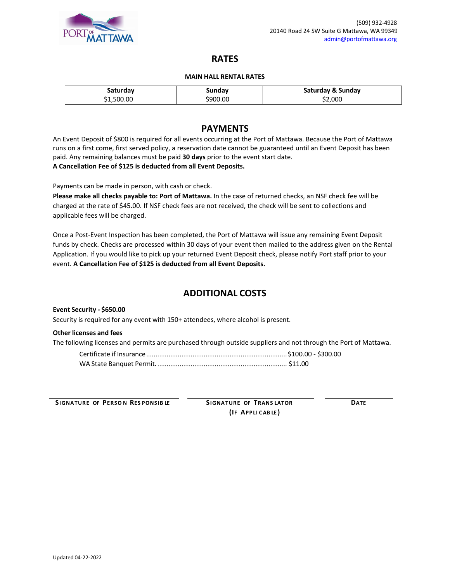

# **RATES**

#### **MAIN HALL RENTAL RATES**

| saturday  | sundav   | Saturday & Sunday |
|-----------|----------|-------------------|
| 1,500.00( | \$900.00 | \$2,000           |

# **PAYMENTS**

An Event Deposit of \$800 is required for all events occurring at the Port of Mattawa. Because the Port of Mattawa runs on a first come, first served policy, a reservation date cannot be guaranteed until an Event Deposit has been paid. Any remaining balances must be paid **30 days** prior to the event start date. **A Cancellation Fee of \$125 is deducted from all Event Deposits.**

Payments can be made in person, with cash or check.

**Please make all checks payable to: Port of Mattawa.** In the case of returned checks, an NSF check fee will be charged at the rate of \$45.00. If NSF check fees are not received, the check will be sent to collections and applicable fees will be charged.

Once a Post-Event Inspection has been completed, the Port of Mattawa will issue any remaining Event Deposit funds by check. Checks are processed within 30 days of your event then mailed to the address given on the Rental Application. If you would like to pick up your returned Event Deposit check, please notify Port staff prior to your event. **A Cancellation Fee of \$125 is deducted from all Event Deposits.**

# **ADDITIONAL COSTS**

**Event Security - \$650.00**

Security is required for any event with 150+ attendees, where alcohol is present.

#### **Other licenses and fees**

The following licenses and permits are purchased through outside suppliers and not through the Port of Mattawa.

**SIGNATURE OF PERSO N RES PONSIB LE SIGNATURE OF TRANS LATOR DATE**

**(IF APPLI CAB LE )**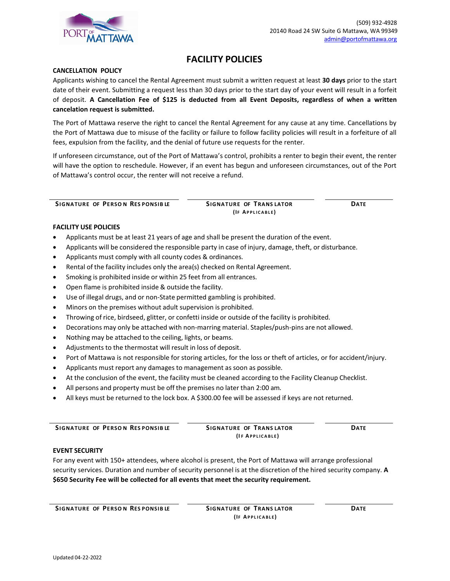

# **FACILITY POLICIES**

## **CANCELLATION POLICY**

Applicants wishing to cancel the Rental Agreement must submit a written request at least **30 days** prior to the start date of their event. Submitting a request less than 30 days prior to the start day of your event will result in a forfeit of deposit. **A Cancellation Fee of \$125 is deducted from all Event Deposits, regardless of when a written cancelation request is submitted.**

The Port of Mattawa reserve the right to cancel the Rental Agreement for any cause at any time. Cancellations by the Port of Mattawa due to misuse of the facility or failure to follow facility policies will result in a forfeiture of all fees, expulsion from the facility, and the denial of future use requests for the renter.

If unforeseen circumstance, out of the Port of Mattawa's control, prohibits a renter to begin their event, the renter will have the option to reschedule. However, if an event has begun and unforeseen circumstances, out of the Port of Mattawa's control occur, the renter will not receive a refund.

**SIGNATURE OF PERSO N RES PONSIB LE SIGNATURE OF TRANS LATOR DATE**

**(IF AP P L IC A BL E)**

### **FACILITY USE POLICIES**

- Applicants must be at least 21 years of age and shall be present the duration of the event.
- Applicants will be considered the responsible party in case of injury, damage, theft, or disturbance.
- Applicants must comply with all county codes & ordinances.
- Rental of the facility includes only the area(s) checked on Rental Agreement.
- Smoking is prohibited inside or within 25 feet from all entrances.
- Open flame is prohibited inside & outside the facility.
- Use of illegal drugs, and or non-State permitted gambling is prohibited.
- Minors on the premises without adult supervision is prohibited.
- Throwing of rice, birdseed, glitter, or confetti inside or outside of the facility is prohibited.
- Decorations may only be attached with non-marring material. Staples/push-pins are not allowed.
- Nothing may be attached to the ceiling, lights, or beams.
- Adjustments to the thermostat will result in loss of deposit.
- Port of Mattawa is not responsible for storing articles, for the loss or theft of articles, or for accident/injury.
- Applicants must report any damages to management as soon as possible.
- At the conclusion of the event, the facility must be cleaned according to the Facility Cleanup Checklist.
- All persons and property must be off the premises no later than 2:00 am.
- All keys must be returned to the lock box. A \$300.00 fee will be assessed if keys are not returned.

**SIGNATURE OF PERSO N RES PONSIB LE SIGNATURE OF TRANS LATOR DATE**

**(I F AP P L IC A BL E)**

#### **EVENT SECURITY**

For any event with 150+ attendees, where alcohol is present, the Port of Mattawa will arrange professional security services. Duration and number of security personnel is at the discretion of the hired security company. **A \$650 Security Fee will be collected for all events that meet the security requirement.**

**CONSIDER SIGNATURE** OF PERSON RESPONSIBLE SIGNATURE OF TRANSLATOR **DATE** 

**(IF AP P L IC A BL E)**